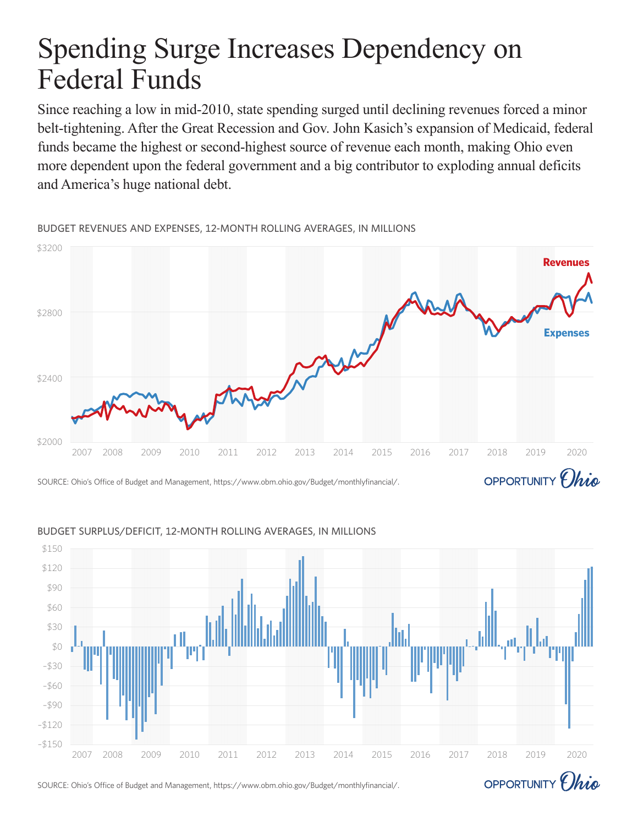# Spending Surge Increases Dependency on Federal Funds

Since reaching a low in mid-2010, state spending surged until declining revenues forced a minor belt-tightening. After the Great Recession and Gov. John Kasich's expansion of Medicaid, federal funds became the highest or second-highest source of revenue each month, making Ohio even more dependent upon the federal government and a big contributor to exploding annual deficits and America's huge national debt.

BUDGET REVENUES AND EXPENSES, 12-MONTH ROLLING AVERAGES, IN MILLIONS



## BUDGET SURPLUS/DEFICIT, 12-MONTH ROLLING AVERAGES, IN MILLIONS